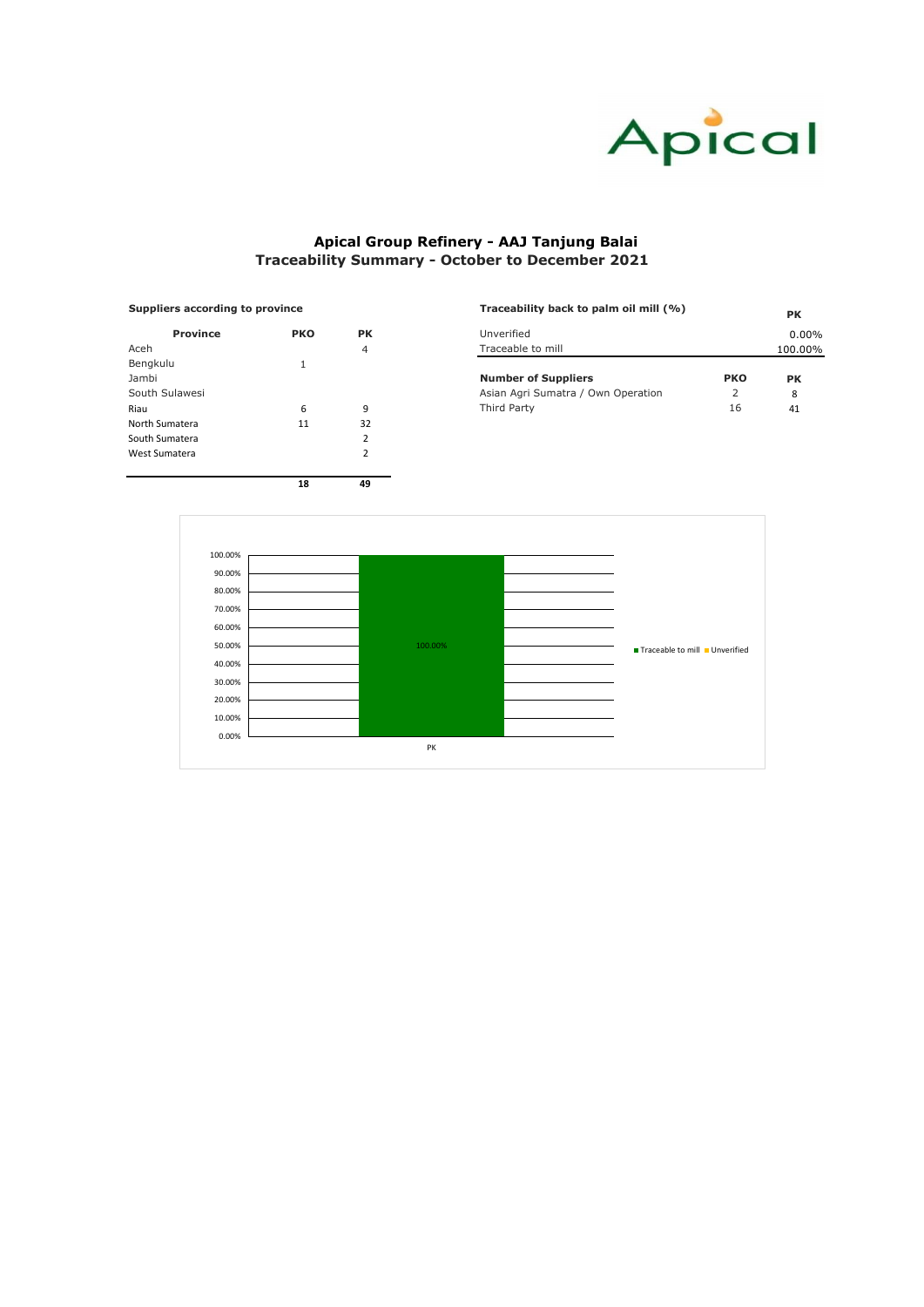| <b>Suppliers according to province</b> |            |           | Traceability back to palm oil mill (%) |            | <b>PK</b> |  |
|----------------------------------------|------------|-----------|----------------------------------------|------------|-----------|--|
| <b>Province</b>                        | <b>PKO</b> | <b>PK</b> | Unverified                             |            | 0.00%     |  |
| Aceh                                   |            | 4         | Traceable to mill                      |            | 100.00%   |  |
| Bengkulu                               |            |           |                                        |            |           |  |
| Jambi                                  |            |           | <b>Number of Suppliers</b>             | <b>PKO</b> | <b>PK</b> |  |
| South Sulawesi                         |            |           | Asian Agri Sumatra / Own Operation     |            | 8         |  |
| Riau                                   | b          |           | Third Party                            | 16         | 41        |  |
|                                        |            |           |                                        |            |           |  |

| <b>Province</b> | <b>PKO</b> | <b>PK</b>      |
|-----------------|------------|----------------|
| Aceh            |            | 4              |
| Bengkulu        | 1          |                |
| Jambi           |            |                |
| South Sulawesi  |            |                |
| Riau            | 6          | 9              |
| North Sumatera  | 11         | 32             |
| South Sumatera  |            | $\overline{2}$ |
| West Sumatera   |            | $\overline{2}$ |
|                 |            |                |
|                 | 18         | 49             |

#### **Suppliers according to province**



# **Apical Group Refinery - AAJ Tanjung Balai Traceability Summary - October to December 2021**

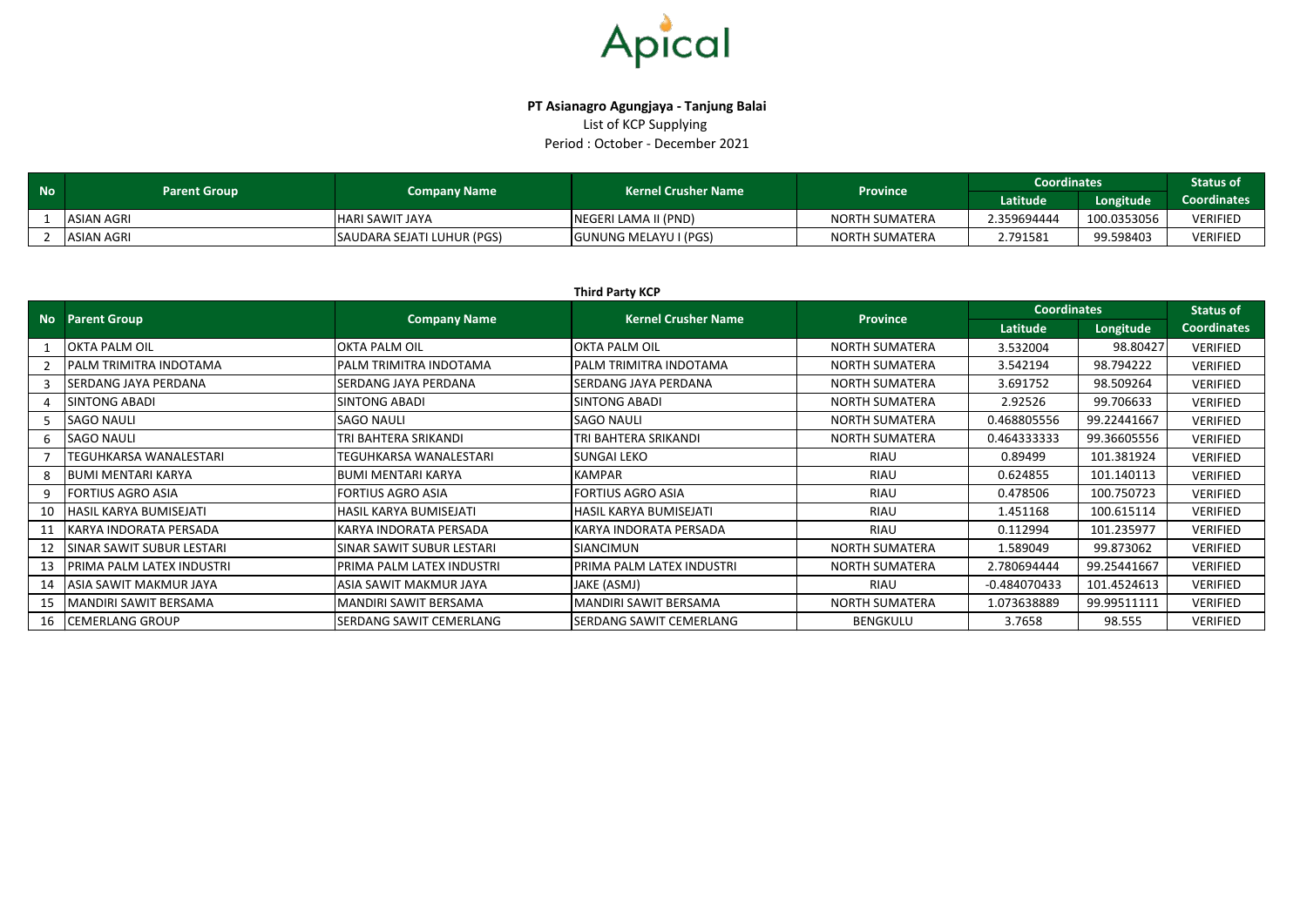

## **PT Asianagro Agungjaya - Tanjung Balai** List of KCP Supplying Period : October - December 2021

| <b>No</b> | <b>Parent Group</b> | <b>Company Name</b>        | <b>Kernel Crusher Name</b> | <b>Province</b>       | <b>Coordinates</b> | <b>Status of</b> |                 |
|-----------|---------------------|----------------------------|----------------------------|-----------------------|--------------------|------------------|-----------------|
|           |                     |                            |                            |                       | Latitude           | Longitude        | Coordinates     |
|           | <b>ASIAN AGRI</b>   | <b>HARI SAWIT JAYA</b>     | NEGERI LAMA II (PND)       | <b>NORTH SUMATERA</b> | 2.359694444        | 100.0353056      | <b>VERIFIED</b> |
|           | ASIAN AGRI          | SAUDARA SEJATI LUHUR (PGS) | GUNUNG MELAYU I (PGS)      | NORTH SUMATERA        | 2.791581           | 99.598403        | <b>VERIFIED</b> |

|    | <b>Third Party KCP</b>        |                           |                            |                       |                                                                                                                                                                                                                                                                                                                                                                       |                  |                    |  |  |
|----|-------------------------------|---------------------------|----------------------------|-----------------------|-----------------------------------------------------------------------------------------------------------------------------------------------------------------------------------------------------------------------------------------------------------------------------------------------------------------------------------------------------------------------|------------------|--------------------|--|--|
|    | <b>No</b> Parent Group        | <b>Company Name</b>       | <b>Kernel Crusher Name</b> |                       |                                                                                                                                                                                                                                                                                                                                                                       | <b>Status of</b> |                    |  |  |
|    |                               |                           |                            |                       | <b>Coordinates</b><br><b>Province</b><br>Latitude<br>3.532004<br>3.542194<br>3.691752<br>2.92526<br>0.468805556<br>0.464333333<br>0.89499<br>RIAU<br><b>RIAU</b><br>0.624855<br><b>RIAU</b><br>0.478506<br><b>RIAU</b><br>1.451168<br><b>RIAU</b><br>0.112994<br>1.589049<br>2.780694444<br><b>RIAU</b><br>$-0.484070433$<br>1.073638889<br><b>BENGKULU</b><br>3.7658 | Longitude        | <b>Coordinates</b> |  |  |
|    | <b>OKTA PALM OIL</b>          | <b>OKTA PALM OIL</b>      | <b>OKTA PALM OIL</b>       | <b>NORTH SUMATERA</b> |                                                                                                                                                                                                                                                                                                                                                                       | 98.80427         | <b>VERIFIED</b>    |  |  |
|    | PALM TRIMITRA INDOTAMA        | PALM TRIMITRA INDOTAMA    | PALM TRIMITRA INDOTAMA     | <b>NORTH SUMATERA</b> |                                                                                                                                                                                                                                                                                                                                                                       | 98.794222        | <b>VERIFIED</b>    |  |  |
|    | <b>SERDANG JAYA PERDANA</b>   | SERDANG JAYA PERDANA      | SERDANG JAYA PERDANA       | <b>NORTH SUMATERA</b> |                                                                                                                                                                                                                                                                                                                                                                       | 98.509264        | <b>VERIFIED</b>    |  |  |
|    | SINTONG ABADI                 | SINTONG ABADI             | <b>SINTONG ABADI</b>       | <b>NORTH SUMATERA</b> |                                                                                                                                                                                                                                                                                                                                                                       | 99.706633        | <b>VERIFIED</b>    |  |  |
|    | <b>SAGO NAULI</b>             | <b>SAGO NAULI</b>         | <b>SAGO NAULI</b>          | <b>NORTH SUMATERA</b> |                                                                                                                                                                                                                                                                                                                                                                       | 99.22441667      | <b>VERIFIED</b>    |  |  |
|    | <b>SAGO NAULI</b>             | TRI BAHTERA SRIKANDI      | TRI BAHTERA SRIKANDI       | <b>NORTH SUMATERA</b> |                                                                                                                                                                                                                                                                                                                                                                       | 99.36605556      | <b>VERIFIED</b>    |  |  |
|    | <b>TEGUHKARSA WANALESTARI</b> | TEGUHKARSA WANALESTARI    | <b>SUNGAI LEKO</b>         |                       |                                                                                                                                                                                                                                                                                                                                                                       | 101.381924       | <b>VERIFIED</b>    |  |  |
|    | <b>BUMI MENTARI KARYA</b>     | <b>BUMI MENTARI KARYA</b> | KAMPAR                     |                       |                                                                                                                                                                                                                                                                                                                                                                       | 101.140113       | <b>VERIFIED</b>    |  |  |
|    | <b>FORTIUS AGRO ASIA</b>      | <b>FORTIUS AGRO ASIA</b>  | FORTIUS AGRO ASIA          |                       |                                                                                                                                                                                                                                                                                                                                                                       | 100.750723       | <b>VERIFIED</b>    |  |  |
| 10 | HASIL KARYA BUMISEJATI        | HASIL KARYA BUMISEJATI    | HASIL KARYA BUMISEJATI     |                       |                                                                                                                                                                                                                                                                                                                                                                       | 100.615114       | <b>VERIFIED</b>    |  |  |
| 11 | KARYA INDORATA PERSADA        | KARYA INDORATA PERSADA    | KARYA INDORATA PERSADA     |                       |                                                                                                                                                                                                                                                                                                                                                                       | 101.235977       | <b>VERIFIED</b>    |  |  |
| 12 | SINAR SAWIT SUBUR LESTARI     | SINAR SAWIT SUBUR LESTARI | SIANCIMUN                  | <b>NORTH SUMATERA</b> |                                                                                                                                                                                                                                                                                                                                                                       | 99.873062        | <b>VERIFIED</b>    |  |  |
| 13 | PRIMA PALM LATEX INDUSTRI     | PRIMA PALM LATEX INDUSTRI | PRIMA PALM LATEX INDUSTRI  | <b>NORTH SUMATERA</b> |                                                                                                                                                                                                                                                                                                                                                                       | 99.25441667      | <b>VERIFIED</b>    |  |  |
| 14 | ASIA SAWIT MAKMUR JAYA        | ASIA SAWIT MAKMUR JAYA    | JAKE (ASMJ)                |                       |                                                                                                                                                                                                                                                                                                                                                                       | 101.4524613      | <b>VERIFIED</b>    |  |  |
| 15 | MANDIRI SAWIT BERSAMA         | MANDIRI SAWIT BERSAMA     | MANDIRI SAWIT BERSAMA      | <b>NORTH SUMATERA</b> |                                                                                                                                                                                                                                                                                                                                                                       | 99.99511111      | <b>VERIFIED</b>    |  |  |
| 16 | <b>CEMERLANG GROUP</b>        | SERDANG SAWIT CEMERLANG   | SERDANG SAWIT CEMERLANG    |                       |                                                                                                                                                                                                                                                                                                                                                                       | 98.555           | VERIFIED           |  |  |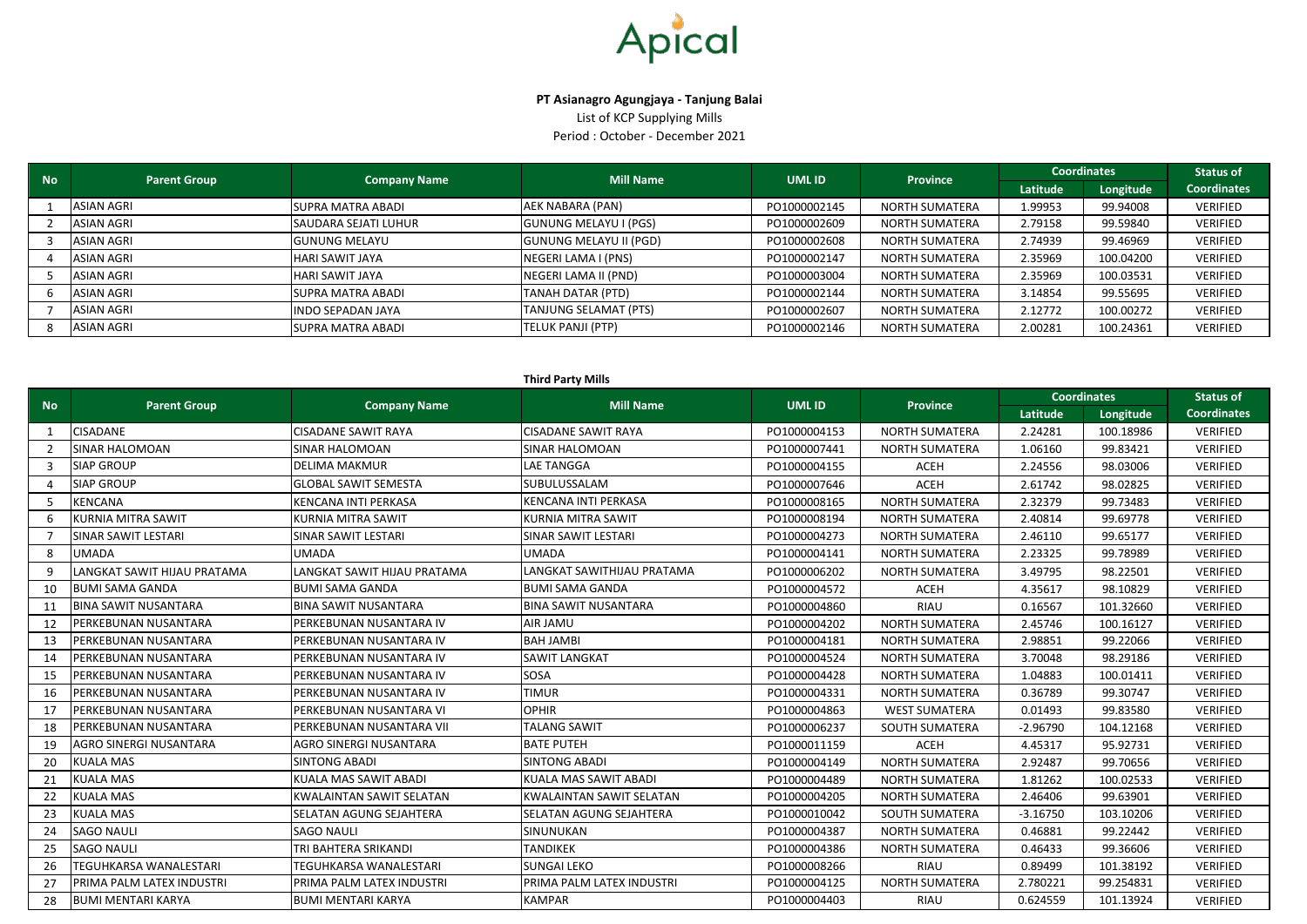#### **Third Party Mills**

| <b>No</b> |                   |                      |                               |              |                       | <b>Mill Name</b><br>UML ID<br><b>Parent Group</b><br><b>Company Name</b> | <b>Province</b> | <b>Coordinates</b> |  | <b>Status of</b> |
|-----------|-------------------|----------------------|-------------------------------|--------------|-----------------------|--------------------------------------------------------------------------|-----------------|--------------------|--|------------------|
|           |                   |                      |                               |              |                       | Latitude                                                                 | Longitude       | <b>Coordinates</b> |  |                  |
|           | ASIAN AGRI        | SUPRA MATRA ABADI    | AEK NABARA (PAN)              | PO1000002145 | <b>NORTH SUMATERA</b> | 1.99953                                                                  | 99.94008        | VERIFIED           |  |                  |
|           | <b>ASIAN AGRI</b> | SAUDARA SEJATI LUHUR | <b>GUNUNG MELAYU I (PGS)</b>  | PO1000002609 | <b>NORTH SUMATERA</b> | 2.79158                                                                  | 99.59840        | VERIFIED           |  |                  |
|           | <b>ASIAN AGRI</b> | <b>GUNUNG MELAYU</b> | <b>GUNUNG MELAYU II (PGD)</b> | PO1000002608 | <b>NORTH SUMATERA</b> | 2.74939                                                                  | 99.46969        | <b>VERIFIED</b>    |  |                  |
|           | ASIAN AGRI        | HARI SAWIT JAYA      | NEGERI LAMA I (PNS)           | PO1000002147 | <b>NORTH SUMATERA</b> | 2.35969                                                                  | 100.04200       | <b>VERIFIED</b>    |  |                  |
|           | ASIAN AGRI        | HARI SAWIT JAYA      | NEGERI LAMA II (PND)          | PO1000003004 | <b>NORTH SUMATERA</b> | 2.35969                                                                  | 100.03531       | VERIFIED           |  |                  |
|           | <b>ASIAN AGRI</b> | ISUPRA MATRA ABADI   | TANAH DATAR (PTD)             | PO1000002144 | <b>NORTH SUMATERA</b> | 3.14854                                                                  | 99.55695        | <b>VERIFIED</b>    |  |                  |
|           | ASIAN AGRI        | INDO SEPADAN JAYA    | TANJUNG SELAMAT (PTS)         | PO1000002607 | <b>NORTH SUMATERA</b> | 2.12772                                                                  | 100.00272       | VERIFIED           |  |                  |
|           | <b>ASIAN AGRI</b> | SUPRA MATRA ABADI    | <b>TELUK PANJI (PTP)</b>      | PO1000002146 | NORTH SUMATERA        | 2.00281                                                                  | 100.24361       | <b>VERIFIED</b>    |  |                  |

| <b>No</b>      | <b>Parent Group</b>         | <b>Company Name</b>             | <b>Mill Name</b>                | <b>UMLID</b> | <b>Province</b>       |            | <b>Coordinates</b> | <b>Status of</b>   |
|----------------|-----------------------------|---------------------------------|---------------------------------|--------------|-----------------------|------------|--------------------|--------------------|
|                |                             |                                 |                                 |              |                       | Latitude   | Longitude          | <b>Coordinates</b> |
| -1             | <b>CISADANE</b>             | <b>CISADANE SAWIT RAYA</b>      | <b>CISADANE SAWIT RAYA</b>      | PO1000004153 | <b>NORTH SUMATERA</b> | 2.24281    | 100.18986          | <b>VERIFIED</b>    |
| $\overline{2}$ | SINAR HALOMOAN              | SINAR HALOMOAN                  | <b>SINAR HALOMOAN</b>           | PO1000007441 | <b>NORTH SUMATERA</b> | 1.06160    | 99.83421           | <b>VERIFIED</b>    |
| 3              | <b>SIAP GROUP</b>           | <b>DELIMA MAKMUR</b>            | <b>LAE TANGGA</b>               | PO1000004155 | <b>ACEH</b>           | 2.24556    | 98.03006           | <b>VERIFIED</b>    |
| $\Delta$       | <b>SIAP GROUP</b>           | <b>GLOBAL SAWIT SEMESTA</b>     | SUBULUSSALAM                    | PO1000007646 | <b>ACEH</b>           | 2.61742    | 98.02825           | <b>VERIFIED</b>    |
| 5              | <b>KENCANA</b>              | KENCANA INTI PERKASA            | <b>KENCANA INTI PERKASA</b>     | PO1000008165 | <b>NORTH SUMATERA</b> | 2.32379    | 99.73483           | <b>VERIFIED</b>    |
|                | <b>KURNIA MITRA SAWIT</b>   | KURNIA MITRA SAWIT              | <b>KURNIA MITRA SAWIT</b>       | PO1000008194 | NORTH SUMATERA        | 2.40814    | 99.69778           | <b>VERIFIED</b>    |
|                | SINAR SAWIT LESTARI         | SINAR SAWIT LESTARI             | SINAR SAWIT LESTARI             | PO1000004273 | NORTH SUMATERA        | 2.46110    | 99.65177           | <b>VERIFIED</b>    |
| 8              | <b>UMADA</b>                | UMADA                           | <b>UMADA</b>                    | PO1000004141 | <b>NORTH SUMATERA</b> | 2.23325    | 99.78989           | <b>VERIFIED</b>    |
| 9              | ANGKAT SAWIT HIJAU PRATAMA. | LANGKAT SAWIT HIJAU PRATAMA     | LANGKAT SAWITHIJAU PRATAMA      | PO1000006202 | <b>NORTH SUMATERA</b> | 3.49795    | 98.22501           | <b>VERIFIED</b>    |
| 10             | <b>BUMI SAMA GANDA</b>      | <b>BUMI SAMA GANDA</b>          | <b>BUMI SAMA GANDA</b>          | PO1000004572 | <b>ACEH</b>           | 4.35617    | 98.10829           | <b>VERIFIED</b>    |
| 11             | <b>BINA SAWIT NUSANTARA</b> | <b>BINA SAWIT NUSANTARA</b>     | <b>BINA SAWIT NUSANTARA</b>     | PO1000004860 | <b>RIAU</b>           | 0.16567    | 101.32660          | <b>VERIFIED</b>    |
| 12             | PERKEBUNAN NUSANTARA        | PERKEBUNAN NUSANTARA IV         | AIR JAMU                        | PO1000004202 | <b>NORTH SUMATERA</b> | 2.45746    | 100.16127          | <b>VERIFIED</b>    |
| 13             | PERKEBUNAN NUSANTARA        | PERKEBUNAN NUSANTARA IV         | <b>BAH JAMBI</b>                | PO1000004181 | <b>NORTH SUMATERA</b> | 2.98851    | 99.22066           | <b>VERIFIED</b>    |
| 14             | PERKEBUNAN NUSANTARA        | PERKEBUNAN NUSANTARA IV         | SAWIT LANGKAT                   | PO1000004524 | <b>NORTH SUMATERA</b> | 3.70048    | 98.29186           | <b>VERIFIED</b>    |
| 15             | PERKEBUNAN NUSANTARA        | PERKEBUNAN NUSANTARA IV         | SOSA                            | PO1000004428 | <b>NORTH SUMATERA</b> | 1.04883    | 100.01411          | <b>VERIFIED</b>    |
| 16             | PERKEBUNAN NUSANTARA        | PERKEBUNAN NUSANTARA IV         | <b>TIMUR</b>                    | PO1000004331 | <b>NORTH SUMATERA</b> | 0.36789    | 99.30747           | <b>VERIFIED</b>    |
| 17             | PERKEBUNAN NUSANTARA        | PERKEBUNAN NUSANTARA VI         | <b>OPHIR</b>                    | PO1000004863 | <b>WEST SUMATERA</b>  | 0.01493    | 99.83580           | <b>VERIFIED</b>    |
| 18             | PERKEBUNAN NUSANTARA        | PERKEBUNAN NUSANTARA VII        | <b>TALANG SAWIT</b>             | PO1000006237 | SOUTH SUMATERA        | $-2.96790$ | 104.12168          | <b>VERIFIED</b>    |
| 19             | AGRO SINERGI NUSANTARA      | AGRO SINERGI NUSANTARA          | <b>BATE PUTEH</b>               | PO1000011159 | <b>ACEH</b>           | 4.45317    | 95.92731           | <b>VERIFIED</b>    |
| 20             | <b>KUALA MAS</b>            | <b>SINTONG ABADI</b>            | <b>SINTONG ABADI</b>            | PO1000004149 | <b>NORTH SUMATERA</b> | 2.92487    | 99.70656           | <b>VERIFIED</b>    |
| 21             | <b>KUALA MAS</b>            | KUALA MAS SAWIT ABADI           | KUALA MAS SAWIT ABADI           | PO1000004489 | <b>NORTH SUMATERA</b> | 1.81262    | 100.02533          | <b>VERIFIED</b>    |
| 22             | <b>KUALA MAS</b>            | <b>KWALAINTAN SAWIT SELATAN</b> | <b>KWALAINTAN SAWIT SELATAN</b> | PO1000004205 | NORTH SUMATERA        | 2.46406    | 99.63901           | <b>VERIFIED</b>    |
| 23             | <b>KUALA MAS</b>            | SELATAN AGUNG SEJAHTERA         | SELATAN AGUNG SEJAHTERA         | PO1000010042 | SOUTH SUMATERA        | $-3.16750$ | 103.10206          | <b>VERIFIED</b>    |
| 24             | <b>SAGO NAULI</b>           | <b>SAGO NAULI</b>               | SINUNUKAN                       | PO1000004387 | <b>NORTH SUMATERA</b> | 0.46881    | 99.22442           | <b>VERIFIED</b>    |
| 25             | <b>SAGO NAULI</b>           | TRI BAHTERA SRIKANDI            | <b>TANDIKEK</b>                 | PO1000004386 | <b>NORTH SUMATERA</b> | 0.46433    | 99.36606           | <b>VERIFIED</b>    |
| 26             | TEGUHKARSA WANALESTARI      | TEGUHKARSA WANALESTARI          | <b>SUNGAI LEKO</b>              | PO1000008266 | <b>RIAU</b>           | 0.89499    | 101.38192          | <b>VERIFIED</b>    |
| 27             | PRIMA PALM LATEX INDUSTRI   | PRIMA PALM LATEX INDUSTRI       | PRIMA PALM LATEX INDUSTRI       | PO1000004125 | <b>NORTH SUMATERA</b> | 2.780221   | 99.254831          | <b>VERIFIED</b>    |
| 28             | <b>BUMI MENTARI KARYA</b>   | <b>BUMI MENTARI KARYA</b>       | <b>KAMPAR</b>                   | PO1000004403 | <b>RIAU</b>           | 0.624559   | 101.13924          | <b>VERIFIED</b>    |



### **PT Asianagro Agungjaya - Tanjung Balai**

List of KCP Supplying Mills Period : October - December 2021